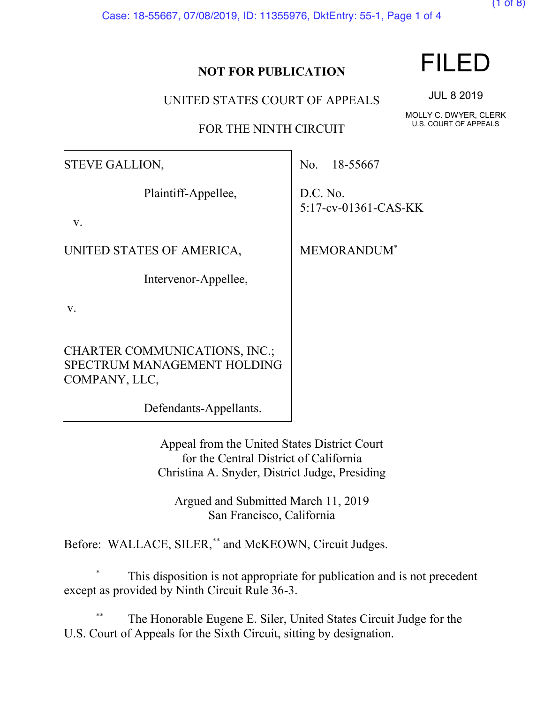Case: 18-55667, 07/08/2019, ID: 11355976, DktEntry: 55-1, Page 1 of 4

## **NOT FOR PUBLICATION**

UNITED STATES COURT OF APPEALS

FOR THE NINTH CIRCUIT

STEVE GALLION,

Plaintiff-Appellee,

v.

UNITED STATES OF AMERICA,

Intervenor-Appellee,

v.

CHARTER COMMUNICATIONS, INC.; SPECTRUM MANAGEMENT HOLDING COMPANY, LLC,

Defendants-Appellants.

Appeal from the United States District Court for the Central District of California Christina A. Snyder, District Judge, Presiding

Argued and Submitted March 11, 2019 San Francisco, California

Before: WALLACE, SILER,\*\* and McKEOWN, Circuit Judges.

This disposition is not appropriate for publication and is not precedent except as provided by Ninth Circuit Rule 36-3.

The Honorable Eugene E. Siler, United States Circuit Judge for the U.S. Court of Appeals for the Sixth Circuit, sitting by designation.

JUL 8 2019

MOLLY C. DWYER, CLERK U.S. COURT OF APPEALS

No. 18-55667

D.C. No. 5:17-cv-01361-CAS-KK

MEMORANDUM\*



(1 of 8)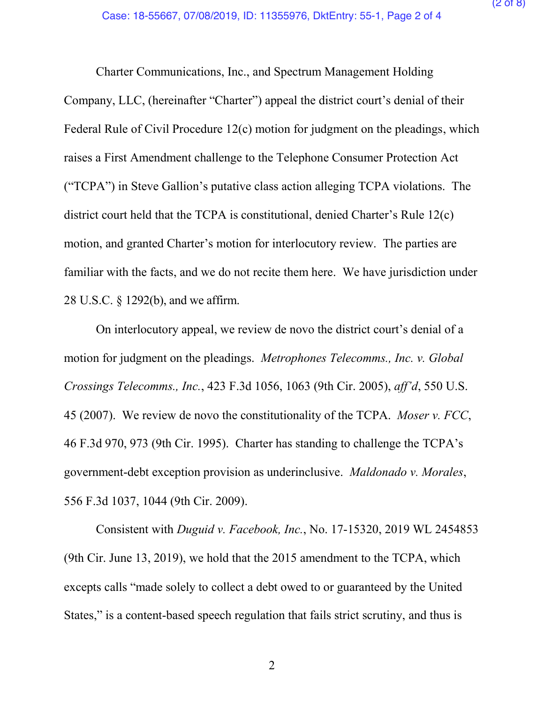Charter Communications, Inc., and Spectrum Management Holding Company, LLC, (hereinafter "Charter") appeal the district court's denial of their Federal Rule of Civil Procedure 12(c) motion for judgment on the pleadings, which raises a First Amendment challenge to the Telephone Consumer Protection Act ("TCPA") in Steve Gallion's putative class action alleging TCPA violations.The district court held that the TCPA is constitutional, denied Charter's Rule 12(c) motion, and granted Charter's motion for interlocutory review. The parties are familiar with the facts, and we do not recite them here. We have jurisdiction under 28 U.S.C. § 1292(b), and we affirm.

On interlocutory appeal, we review de novo the district court's denial of a motion for judgment on the pleadings. *Metrophones Telecomms., Inc. v. Global Crossings Telecomms., Inc.*, 423 F.3d 1056, 1063 (9th Cir. 2005), *aff'd*, 550 U.S. 45 (2007). We review de novo the constitutionality of the TCPA. *Moser v. FCC*, 46 F.3d 970, 973 (9th Cir. 1995). Charter has standing to challenge the TCPA's government-debt exception provision as underinclusive. *Maldonado v. Morales*, 556 F.3d 1037, 1044 (9th Cir. 2009).

Consistent with *Duguid v. Facebook, Inc.*, No. 17-15320, 2019 WL 2454853 (9th Cir. June 13, 2019), we hold that the 2015 amendment to the TCPA, which excepts calls "made solely to collect a debt owed to or guaranteed by the United States," is a content-based speech regulation that fails strict scrutiny, and thus is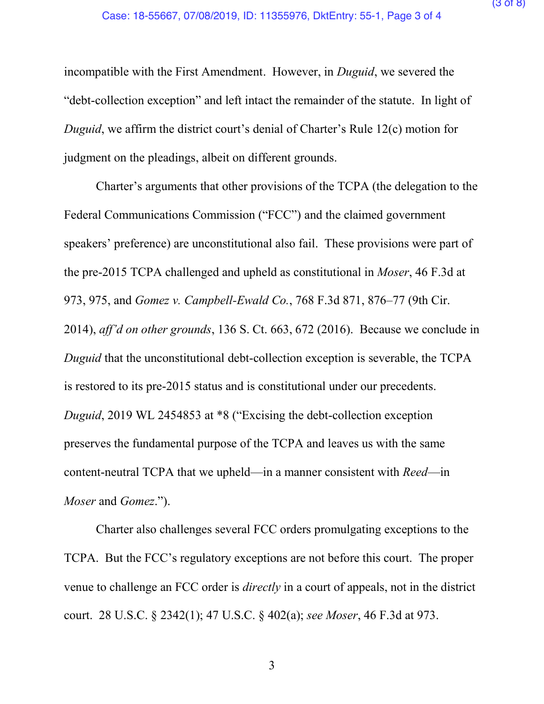incompatible with the First Amendment. However, in *Duguid*, we severed the "debt-collection exception" and left intact the remainder of the statute. In light of *Duguid*, we affirm the district court's denial of Charter's Rule 12(c) motion for judgment on the pleadings, albeit on different grounds.

Charter's arguments that other provisions of the TCPA (the delegation to the Federal Communications Commission ("FCC") and the claimed government speakers' preference) are unconstitutional also fail. These provisions were part of the pre-2015 TCPA challenged and upheld as constitutional in *Moser*, 46 F.3d at 973, 975, and *Gomez v. Campbell-Ewald Co.*, 768 F.3d 871, 876–77 (9th Cir. 2014), *aff'd on other grounds*, 136 S. Ct. 663, 672 (2016). Because we conclude in *Duguid* that the unconstitutional debt-collection exception is severable, the TCPA is restored to its pre-2015 status and is constitutional under our precedents. *Duguid*, 2019 WL 2454853 at \*8 ("Excising the debt-collection exception preserves the fundamental purpose of the TCPA and leaves us with the same content-neutral TCPA that we upheld—in a manner consistent with *Reed*—in *Moser* and *Gomez*.").

Charter also challenges several FCC orders promulgating exceptions to the TCPA. But the FCC's regulatory exceptions are not before this court. The proper venue to challenge an FCC order is *directly* in a court of appeals, not in the district court. 28 U.S.C. § 2342(1); 47 U.S.C. § 402(a); *see Moser*, 46 F.3d at 973.

3